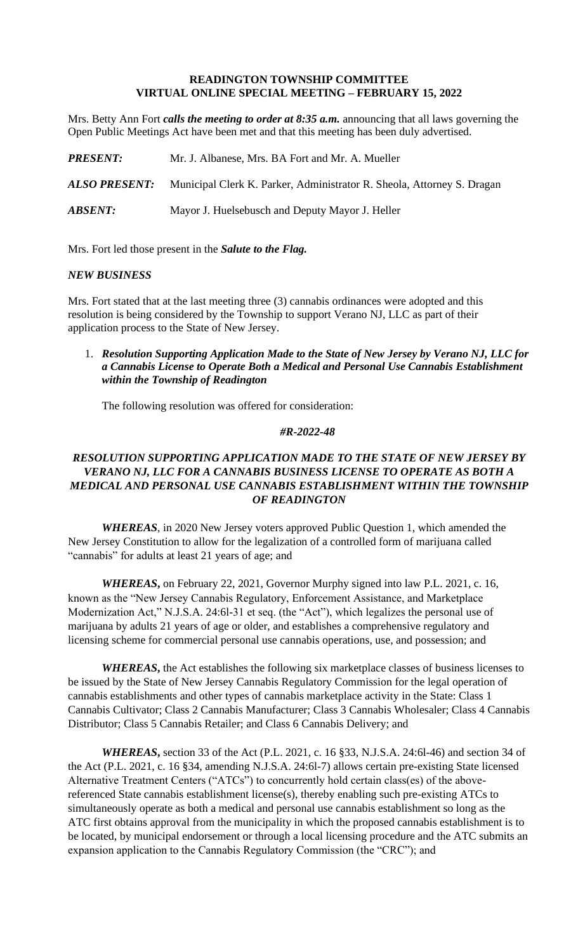#### **READINGTON TOWNSHIP COMMITTEE VIRTUAL ONLINE SPECIAL MEETING – FEBRUARY 15, 2022**

Mrs. Betty Ann Fort *calls the meeting to order at 8:35 a.m.* announcing that all laws governing the Open Public Meetings Act have been met and that this meeting has been duly advertised.

| <b>PRESENT:</b>       | Mr. J. Albanese, Mrs. BA Fort and Mr. A. Mueller                       |
|-----------------------|------------------------------------------------------------------------|
| <b>ALSO PRESENT:</b>  | Municipal Clerk K. Parker, Administrator R. Sheola, Attorney S. Dragan |
| <i><b>ABSENT:</b></i> | Mayor J. Huelsebusch and Deputy Mayor J. Heller                        |

Mrs. Fort led those present in the *Salute to the Flag.*

#### *NEW BUSINESS*

Mrs. Fort stated that at the last meeting three (3) cannabis ordinances were adopted and this resolution is being considered by the Township to support Verano NJ, LLC as part of their application process to the State of New Jersey.

1. *Resolution Supporting Application Made to the State of New Jersey by Verano NJ, LLC for a Cannabis License to Operate Both a Medical and Personal Use Cannabis Establishment within the Township of Readington*

The following resolution was offered for consideration:

### *#R-2022-48*

# *RESOLUTION SUPPORTING APPLICATION MADE TO THE STATE OF NEW JERSEY BY VERANO NJ, LLC FOR A CANNABIS BUSINESS LICENSE TO OPERATE AS BOTH A MEDICAL AND PERSONAL USE CANNABIS ESTABLISHMENT WITHIN THE TOWNSHIP OF READINGTON*

*WHEREAS*, in 2020 New Jersey voters approved Public Question 1, which amended the New Jersey Constitution to allow for the legalization of a controlled form of marijuana called "cannabis" for adults at least 21 years of age; and

*WHEREAS***,** on February 22, 2021, Governor Murphy signed into law P.L. 2021, c. 16, known as the "New Jersey Cannabis Regulatory, Enforcement Assistance, and Marketplace Modernization Act," N.J.S.A. 24:6l-31 et seq. (the "Act"), which legalizes the personal use of marijuana by adults 21 years of age or older, and establishes a comprehensive regulatory and licensing scheme for commercial personal use cannabis operations, use, and possession; and

*WHEREAS***,** the Act establishes the following six marketplace classes of business licenses to be issued by the State of New Jersey Cannabis Regulatory Commission for the legal operation of cannabis establishments and other types of cannabis marketplace activity in the State: Class 1 Cannabis Cultivator; Class 2 Cannabis Manufacturer; Class 3 Cannabis Wholesaler; Class 4 Cannabis Distributor; Class 5 Cannabis Retailer; and Class 6 Cannabis Delivery; and

*WHEREAS***,** section 33 of the Act (P.L. 2021, c. 16 §33, N.J.S.A. 24:6l-46) and section 34 of the Act (P.L. 2021, c. 16 §34, amending N.J.S.A. 24:6l-7) allows certain pre-existing State licensed Alternative Treatment Centers ("ATCs") to concurrently hold certain class(es) of the abovereferenced State cannabis establishment license(s), thereby enabling such pre-existing ATCs to simultaneously operate as both a medical and personal use cannabis establishment so long as the ATC first obtains approval from the municipality in which the proposed cannabis establishment is to be located, by municipal endorsement or through a local licensing procedure and the ATC submits an expansion application to the Cannabis Regulatory Commission (the "CRC"); and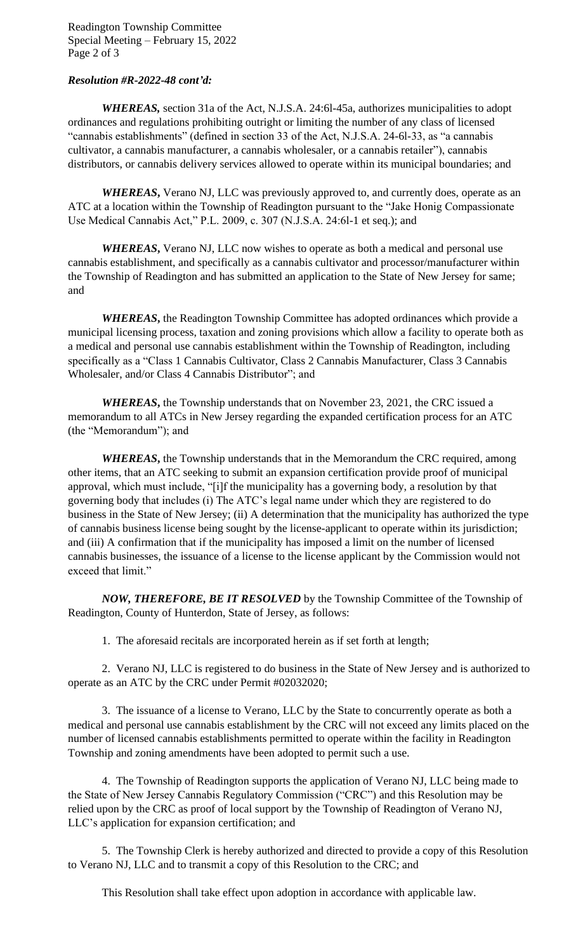Readington Township Committee Special Meeting – February 15, 2022 Page 2 of 3

### *Resolution #R-2022-48 cont'd:*

*WHEREAS,* section 31a of the Act, N.J.S.A. 24:6l-45a, authorizes municipalities to adopt ordinances and regulations prohibiting outright or limiting the number of any class of licensed "cannabis establishments" (defined in section 33 of the Act, N.J.S.A. 24-6l-33, as "a cannabis cultivator, a cannabis manufacturer, a cannabis wholesaler, or a cannabis retailer"), cannabis distributors, or cannabis delivery services allowed to operate within its municipal boundaries; and

*WHEREAS***,** Verano NJ, LLC was previously approved to, and currently does, operate as an ATC at a location within the Township of Readington pursuant to the "Jake Honig Compassionate Use Medical Cannabis Act," P.L. 2009, c. 307 (N.J.S.A. 24:6l-1 et seq.); and

*WHEREAS***,** Verano NJ, LLC now wishes to operate as both a medical and personal use cannabis establishment, and specifically as a cannabis cultivator and processor/manufacturer within the Township of Readington and has submitted an application to the State of New Jersey for same; and

*WHEREAS***,** the Readington Township Committee has adopted ordinances which provide a municipal licensing process, taxation and zoning provisions which allow a facility to operate both as a medical and personal use cannabis establishment within the Township of Readington, including specifically as a "Class 1 Cannabis Cultivator, Class 2 Cannabis Manufacturer, Class 3 Cannabis Wholesaler, and/or Class 4 Cannabis Distributor"; and

*WHEREAS***,** the Township understands that on November 23, 2021, the CRC issued a memorandum to all ATCs in New Jersey regarding the expanded certification process for an ATC (the "Memorandum"); and

*WHEREAS***,** the Township understands that in the Memorandum the CRC required, among other items, that an ATC seeking to submit an expansion certification provide proof of municipal approval, which must include, "[i]f the municipality has a governing body, a resolution by that governing body that includes (i) The ATC's legal name under which they are registered to do business in the State of New Jersey; (ii) A determination that the municipality has authorized the type of cannabis business license being sought by the license-applicant to operate within its jurisdiction; and (iii) A confirmation that if the municipality has imposed a limit on the number of licensed cannabis businesses, the issuance of a license to the license applicant by the Commission would not exceed that limit."

*NOW, THEREFORE, BE IT RESOLVED* by the Township Committee of the Township of Readington, County of Hunterdon, State of Jersey, as follows:

1. The aforesaid recitals are incorporated herein as if set forth at length;

2. Verano NJ, LLC is registered to do business in the State of New Jersey and is authorized to operate as an ATC by the CRC under Permit #02032020;

3. The issuance of a license to Verano, LLC by the State to concurrently operate as both a medical and personal use cannabis establishment by the CRC will not exceed any limits placed on the number of licensed cannabis establishments permitted to operate within the facility in Readington Township and zoning amendments have been adopted to permit such a use.

4. The Township of Readington supports the application of Verano NJ, LLC being made to the State of New Jersey Cannabis Regulatory Commission ("CRC") and this Resolution may be relied upon by the CRC as proof of local support by the Township of Readington of Verano NJ, LLC's application for expansion certification; and

5. The Township Clerk is hereby authorized and directed to provide a copy of this Resolution to Verano NJ, LLC and to transmit a copy of this Resolution to the CRC; and

This Resolution shall take effect upon adoption in accordance with applicable law.